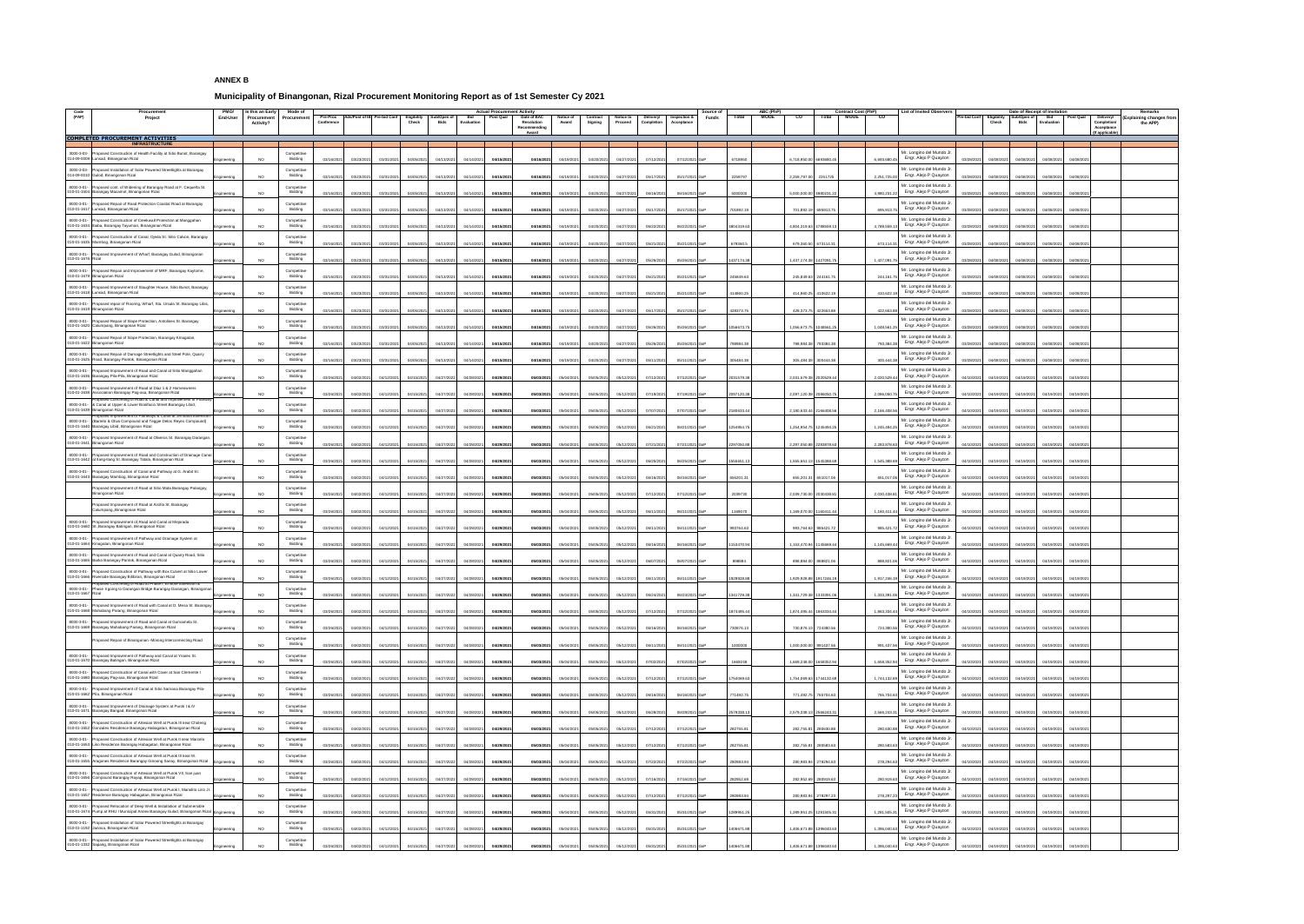## **ANNEX B**

## **Municipality of Binangonan, Rizal Procurement Monitoring Report as of 1st Semester Cy 2021**

| Code              | <b>Procurement</b>                                                                                                                                                  | <b>PMO/</b>     | <b>Is this an Early</b>                | <b>Mode of</b>                |                          |                                                                        | <b>Actual Procurement Activity</b>                                  |                                  |                           |                                                           |                                                   | Source of                     |            | ABC (PhP)                  | <b>Contract Cost (PhP)</b> | <b>List of Invited Observers</b>                                |                                 |                                                            | Date of Receipt of Invitation      |                     | Remarks                                                         |
|-------------------|---------------------------------------------------------------------------------------------------------------------------------------------------------------------|-----------------|----------------------------------------|-------------------------------|--------------------------|------------------------------------------------------------------------|---------------------------------------------------------------------|----------------------------------|---------------------------|-----------------------------------------------------------|---------------------------------------------------|-------------------------------|------------|----------------------------|----------------------------|-----------------------------------------------------------------|---------------------------------|------------------------------------------------------------|------------------------------------|---------------------|-----------------------------------------------------------------|
| (PAP)             | Project                                                                                                                                                             | <b>End-User</b> | <b>Procurement</b><br><b>Activity?</b> | Procuremer                    | <b>Conference</b>        | Pre-Proc   Ads/Post of IB   Pre-bid Conf   Eligibility<br><b>Check</b> | Sub/Open of<br><b>Post Qual</b><br>Bid<br><b>Evaluation</b><br>Bids | Date of BAC<br><b>Resolution</b> | <b>Notice of</b><br>Award | <b>Contract</b><br><b>Notice to</b><br>Signing<br>Proceed | Delivery/   Inspection &<br>Completion Acceptance | <b>Funds</b>                  | Total      | <b>MOOE</b><br>CO<br>Total | <b>MOOE</b><br>CO          |                                                                 | <b>Pre-bid Conf</b> Eligibility | Sub/Open of<br><b>Bids</b><br><b>Check</b>                 | Bid<br>Evaluation                  | Post Qual Delivery/ | <b>Explaining changes from</b><br><b>Completion</b><br>the APP) |
|                   |                                                                                                                                                                     |                 |                                        |                               |                          |                                                                        |                                                                     | Recommending                     |                           |                                                           |                                                   |                               |            |                            |                            |                                                                 |                                 |                                                            |                                    |                     | <b>Acceptance</b><br>lf applicable)                             |
|                   | <b>COMPLETED PROCUREMENT ACTIVITIES</b><br><b>INFRASTRUCTURE</b>                                                                                                    |                 |                                        |                               |                          |                                                                        |                                                                     |                                  |                           |                                                           |                                                   |                               |            |                            |                            |                                                                 |                                 |                                                            |                                    |                     |                                                                 |
|                   | 3000-3-03- Proposed Construction of Health Facility at Sitio Bunot, Barangay                                                                                        |                 |                                        | Competitive                   |                          |                                                                        |                                                                     |                                  |                           |                                                           |                                                   |                               |            |                            |                            | Mr. Longino del Mundo Jr                                        |                                 |                                                            |                                    |                     |                                                                 |
|                   | 014-09-0009 Lunsad, Binangonan Rizal                                                                                                                                | Engineering     | <b>NO</b>                              | Bidding                       | 03/16/2021<br>03/23/2021 | 03/31/2021<br>04/05/2021                                               | 04/15/2021<br>04/13/202<br>04/14/2021                               | 04/16/2021                       | 04/19/2021                | 04/20/2021<br>04/27/2021                                  | 07/12/2021                                        | 07/12/2021 GoP                | 6718950    | 6,718,950.00 6693680.45    | 6.693.680.45               | Engr. Alejo P Quayzon                                           |                                 | 03/28/2021  04/08/2021                                     | 04/08/2021  04/08/2021             | 04/08/2021          |                                                                 |
|                   | 3000-3-03- Proposed Installation of Solar Powered Streetlights at Barangay<br>014-09-0010 Gulod, Binangonan Rizal                                                   | Engineering     | NO.                                    | Competitive<br>Bidding        | 03/16/2021<br>03/23/2021 | 03/31/2021<br>04/05/2021                                               | 04/15/2021<br>04/13/202<br>04/14/2021                               | 04/16/2021                       | 04/19/2021                | 04/20/2021<br>04/27/2021                                  | 05/17/2021                                        | 05/17/2021 GoP                | 2259797    | 2,259,797.00 2251725       | 2.251.725.00               | Mr. Longino del Mundo Jr<br>Engr. Alejo P Quayzon               |                                 | 03/28/2021  04/08/2021                                     | 04/08/2021  04/08/2021             | 04/08/2021          |                                                                 |
|                   | 8000-3-01- Proposed cont. of Widening of Barangay Road at F. Cequeña St.                                                                                            |                 |                                        | Competitive                   |                          |                                                                        |                                                                     |                                  |                           |                                                           |                                                   |                               |            |                            |                            | Mr. Longino del Mundo Jr.                                       |                                 |                                                            |                                    |                     |                                                                 |
|                   | 010-01-1504 Barangay Macamot, Binangonan Rizal                                                                                                                      | Engineering     | NO.                                    | Bidding                       | 03/16/2021<br>03/23/2021 | 03/31/2021<br>04/05/2021                                               | 04/13/202<br>04/15/2021<br>04/14/2021                               | 04/16/2021                       | 04/19/2021                | 04/20/2021<br>04/27/2021                                  | 06/16/2021                                        | 06/16/2021 GoP                | 5000000    | 5,000,000.00 4980231.22    | 4,980,231.22               | Engr. Alejo P Quayzon                                           | 03/28/2021                      | 04/08/2021                                                 | 04/08/2021  04/08/2021             | 04/08/2021          |                                                                 |
|                   | 8000-3-01- Proposed Repair of Road Protection Coastal Road at Barangay<br>010-01-1617 Lunsad, Binangonan Rizal                                                      | Engineering     | NO.                                    | Competitive<br><b>Bidding</b> | 03/16/2021<br>03/23/2021 | 03/31/2021<br>04/05/2021                                               | 04/15/2021<br>04/13/202<br>04/14/2021                               | 04/16/2021                       | 04/19/2021                | 04/20/2021<br>04/27/2021                                  | 05/17/2021                                        | 05/17/2021 GoP                | 701892.19  | 701,892.19 695913.75       | 695.913.75                 | Mr. Longino del Mundo Jr<br>Engr. Alejo P Quayzon               | 03/28/2021                      | 04/08/2021                                                 | 04/08/2021  04/08/2021             | 04/08/2021          |                                                                 |
|                   | 8000-3-01- Proposed Construction of Creekwall Protection at Manggahan                                                                                               |                 |                                        | Competitive                   |                          |                                                                        |                                                                     |                                  |                           |                                                           |                                                   |                               |            |                            |                            | Mr. Longino del Mundo J                                         |                                 |                                                            |                                    |                     |                                                                 |
|                   | 010-01-1634 Ibaba, Barangay Tayuman, Binangonan Rizal                                                                                                               | Engineering     | NO.                                    | <b>Bidding</b>                | 03/16/2021<br>03/23/2021 | 03/31/2021<br>04/05/2021                                               | 04/14/2021<br>04/15/2021<br>04/13/202                               | 04/16/2021                       | 04/19/2021                | 04/20/2021<br>04/27/2021                                  | 06/22/2021                                        | 06/22/2021 GoP                | 4804319.63 | 4,804,319.63 4788559.1     | 4.788.559.13               | Engr. Alejo P Quayzon                                           | 03/28/2021                      | 04/08/2021<br>04/08/2021                                   | 04/08/2021                         | 04/08/202           |                                                                 |
|                   | 8000-3-01- Proposed Construction of Canal, Ojeda St. Sitio Calvon, Barangay<br>010-01-1635 Mambog, Binangonan Rizal                                                 |                 | NO.                                    | Competitive<br><b>Bidding</b> | 03/16/2021<br>03/23/2021 | 03/31/2021<br>04/05/2021                                               | 04/13/202<br>04/14/2021<br>04/15/2021                               | 04/16/2021                       | 04/19/2021                | 04/20/2021<br>04/27/2021                                  | 05/21/2021                                        | 05/21/2021 GoP                | 679360.5   | 679,360.50 673114.31       | 673,114.31                 | Mr. Longino del Mundo.<br>Engr. Alejo P Quayzon                 |                                 | 03/28/2021  04/08/2021<br>04/08/2021                       | 04/08/2021                         | 04/08/2021          |                                                                 |
|                   | 8000-3-01- Proposed Improvement of Wharf, Barangay Gulod, Binangonan                                                                                                | Engineering     |                                        | Competitive                   |                          |                                                                        |                                                                     |                                  |                           |                                                           |                                                   |                               |            |                            |                            | Mr. Longino del Mundo Jr                                        |                                 |                                                            |                                    |                     |                                                                 |
| 010-01-1676 Rizal |                                                                                                                                                                     | Engineering     | NO.                                    | Bidding                       | 03/16/2021<br>03/23/2021 | 03/31/2021<br>04/05/2021                                               | 04/13/202<br>04/14/2021<br>04/15/2021                               | 04/16/2021                       | 04/19/2021                | 04/20/2021<br>04/27/2021                                  | 05/26/2021                                        | 05/26/2021 GoP                | 1437174.38 | 1,437,174.38 1427091.75    | 1.427.091.75               | Engr. Alejo P Quayzon                                           | 03/28/2021                      | 04/08/2021                                                 | 04/08/2021  04/08/2021             | 04/08/2021          |                                                                 |
|                   | 8000-3-01- Proposed Repair and Improvement of MRF, Barangay Kaytome<br>010-01-1679 Binangonan Rizal                                                                 |                 |                                        | Competitive<br>Bidding        |                          |                                                                        |                                                                     |                                  |                           |                                                           |                                                   |                               |            |                            |                            | Mr. Longino del Mundo J<br>Engr. Alejo P Quayzon                |                                 |                                                            |                                    |                     |                                                                 |
|                   |                                                                                                                                                                     | Engineering     | NO                                     |                               | 03/16/2021<br>03/23/2021 | 03/31/2021<br>04/05/2021                                               | 04/13/202<br>04/14/2021<br>04/15/2021                               | 04/16/2021                       | 04/19/2021                | 04/20/2021<br>04/27/2021                                  | 05/21/2021                                        | 05/21/2021 GoP                | 245849.63  | 245,849.63 244161.75       | 244,161.75                 | Mr. Longino del Mundo Jr                                        | 03/28/2021                      | 04/08/2021                                                 | 04/08/2021 04/08/2021              | 04/08/2021          |                                                                 |
|                   | 8000-3-01- Proposed Improvement of Slaughter House, Sitio Bunot, Barangay<br>010-01-1618 Lunsad, Binangonan Rizal                                                   | Engineering     | NO                                     | Competitive<br><b>Bidding</b> | 03/16/2021<br>03/23/2021 | 03/31/2021<br>04/05/2021                                               | 04/13/202<br>04/14/2021<br>04/15/2021                               | 04/16/2021                       | 04/19/2021                | 04/20/2021<br>04/27/2021                                  | 05/21/2021                                        | 05/21/2021 GoP                | 414860.25  | 414,860.25 410622.19       | 410.622.19                 | Engr. Alejo P Quayzon                                           | 03/28/2021                      | 04/08/2021<br>04/08/2021                                   | 04/08/2021                         | 04/08/202           |                                                                 |
|                   | 8000-3-01- Proposed repair of Flooring, Wharf, Sta. Ursula St. Barangay Libis,                                                                                      |                 |                                        | Competitive                   |                          |                                                                        |                                                                     |                                  |                           |                                                           |                                                   |                               |            |                            |                            | Mr. Longino del Mundo J<br>Engr. Alejo P Quayzon                |                                 |                                                            |                                    |                     |                                                                 |
|                   | 010-01-1619 Binangonan Rizal                                                                                                                                        | Engineering     | NO.                                    | Bidding                       | 03/16/2021<br>03/23/2021 | 03/31/2021<br>04/05/2021                                               | 04/13/202<br>04/15/2021<br>04/14/2021                               | 04/16/2021                       | 04/19/2021                | 04/20/2021<br>04/27/2021                                  | 05/17/2021                                        | 05/17/2021 GoP                | 428373.75  | 428,373.75 422653.88       | 422.653.88                 | Mr. Longino del Mundo J                                         |                                 | 03/28/2021  04/08/2021                                     | 04/08/2021  04/08/2021             | 04/08/202           |                                                                 |
|                   | 8000-3-01- Proposed Repair of Slope Protection, Antolines St. Barangay<br>010-01-1620 Calumpang, Binangonan Rizal                                                   | Engineering     | NO.                                    | Competitive<br>Bidding        | 03/16/2021<br>03/23/2021 | 03/31/2021<br>04/05/2021                                               | 04/13/2021<br>04/15/2021<br>04/14/2021                              | 04/16/2021                       | 04/19/2021                | 04/20/2021<br>04/27/2021                                  | 05/26/2021                                        | 05/26/2021 GoP                | 1056673.7  | 1,056,673.75 1048561.2     | 1,048,561.25               | Engr. Alejo P Quayzon                                           |                                 | 03/28/2021 04/08/2021                                      | 04/08/2021  04/08/2021             | 04/08/2021          |                                                                 |
|                   | 8000-3-01- Proposed Repair of Slope Protection, Barangay Klnagatan,                                                                                                 |                 |                                        | Competitive                   |                          |                                                                        |                                                                     |                                  |                           |                                                           |                                                   |                               |            |                            |                            | Mr. Longino del Mundo Jr                                        |                                 |                                                            |                                    |                     |                                                                 |
|                   | 010-01-1622 Binangonan Rizal                                                                                                                                        | Engineering     | NO                                     | Bidding                       | 03/16/2021<br>03/23/2021 | 03/31/2021<br>04/05/2021                                               | 04/13/202<br>04/14/2021   04/15/2021                                | 04/16/2021                       | 04/19/2021                | 04/20/2021<br>04/27/2021                                  | 05/26/2021                                        | 05/26/2021 GoP                | 798984.38  | 798,984.38 793384.38       | 793,384.38                 | Engr. Alejo P Quayzon                                           | 03/28/2021                      | 04/08/2021                                                 | 04/08/2021  04/08/2021             | 04/08/2021          |                                                                 |
|                   | 8000-3-01- Proposed Repair of Damage Streetlights and Steel Pole, Quarry<br>010-01-1625 Road, Barangay Pantok, Binangonan Rizal                                     | Engineering     | NO.                                    | Competitive<br>Bidding        | 03/16/2021<br>03/23/2021 | 03/31/2021<br>04/05/2021                                               | 04/15/2021<br>04/13/202<br>04/14/2021                               | 04/16/2021                       | 04/19/2021                | 04/20/2021<br>04/27/2021                                  | 05/11/2021                                        | 05/11/2021 GoP                | 305484.38  | 305,484.38 300444.38       | 300.444.38                 | Mr. Longino del Mundo Jr<br>Engr. Alejo P Quayzon               | 03/28/2021                      | 04/08/2021                                                 | 04/08/2021  04/08/2021             | 04/08/2021          |                                                                 |
|                   | 8000-3-01- Proposed Improvement of Road and Canal at Sitio Manggahan                                                                                                |                 |                                        | Competitive                   |                          |                                                                        |                                                                     |                                  |                           |                                                           |                                                   |                               |            |                            |                            | Mr. Longino del Mundo Jr.                                       |                                 |                                                            |                                    |                     |                                                                 |
|                   | 010-01-1636 Barangay Pila-Pila, Binangonan Rizal                                                                                                                    | Engineering     | NO.                                    | Bidding                       | 03/26/202<br>04/02/2021  | 04/12/2021<br>04/15/2021                                               | 04/29/2021<br>04/27/202<br>04/28/2021                               | 05/03/2021                       | 05/04/2021                | 05/05/2021<br>05/12/2021                                  | 07/12/2021                                        | 07/12/2021 GoP                | 2031579.38 | 2,031,579.38 2020529.44    | 2,020,529.44               | Engr. Alejo P Quayzon                                           | 04/10/2021                      | 04/19/2021                                                 | 04/19/2021   04/19/2021            | 04/19/2021          |                                                                 |
|                   | 8000-3-01- Proposed Improvement of Road at Diaz 1 & 2 Homeowners<br>010-01-1638 Association Barangay Pag-asa, Binangonan Rizal                                      | Engineering     | <b>NO</b>                              | Competitive<br>Bidding        | 03/26/2021<br>04/02/2021 | 04/12/2021<br>04/15/2021                                               | 04/29/2021<br>04/27/202<br>04/28/2021                               | 05/03/2021                       | 05/04/2021                | 05/05/2021<br>05/12/2021                                  | 07/19/2021                                        | 07/19/2021 GoP                | 2097120.38 | 2,097,120.38 2086050.75    | 2.086.050.7                | Mr. Longino del Mundo J<br>Engr. Alejo P Quayzon                | 04/10/2021                      | 04/19/2021                                                 | 04/19/2021  04/19/2021             | 04/19/2021          |                                                                 |
|                   | Proposed Concreting of Road & Canal and Improvement of Pathway<br>8000-3-01- & Canal at Upper & Lower Bonifacio Street Barangay Libid,                              |                 |                                        | Competitive                   |                          |                                                                        |                                                                     |                                  |                           |                                                           |                                                   |                               |            |                            |                            | Mr. Longino del Mundo Jr                                        |                                 |                                                            |                                    |                     |                                                                 |
|                   | 010-01-1639 Binangonan Rizal<br>Proposed Improvement of Pathways & Canal at JM Basa Extension                                                                       | Engineering     | NO.                                    | Bidding                       | 04/02/2021<br>03/26/202  | 04/12/2021<br>04/15/2021                                               | 04/27/202<br>04/29/2021<br>04/28/2021                               | 05/03/2021                       | 05/04/2021                | 05/05/2021<br>05/12/2021                                  | 07/07/2021                                        | 07/07/2021 GoP                | 2180633.44 | 2,180,633.44 2166408.56    | 2.166.408.56               | Engr. Alejo P Quayzon                                           | 04/10/2021                      | 04/19/2021<br>04/19/2021                                   | 04/19/2021                         | 04/19/2021          |                                                                 |
|                   | 8000-3-01- (Barreto & Oliva Compound and Teggie Delos Reyes Compound)<br>010-01-1640 Barangay Libid, Binangonan Rizal                                               |                 | NO.                                    | Competitive<br><b>Bidding</b> | 03/26/2021<br>04/02/2021 | 04/12/2021<br>04/15/2021                                               | 04/27/2022<br>04/28/2021<br>04/29/2021                              | 05/03/2021                       | 05/04/2021                | 05/05/2021<br>05/12/2021                                  | 06/21/2021                                        | 06/21/2021 GoP                | 1254954.7  | 1,254,954.75 1245494.25    | 1,245,494.25               | Mr. Longino del Mundo Jr<br>Engr. Alejo P Quayzon               | 04/10/2021                      | 04/19/2021                                                 | 04/19/2021  04/19/2021             | 04/19/2021          |                                                                 |
|                   | 8000-3-01- Proposed Improvement of Road at Oliveros St. Barangay Darangan                                                                                           | Engineering     |                                        | Competitive                   |                          |                                                                        |                                                                     |                                  |                           |                                                           |                                                   |                               |            |                            |                            | Mr. Longino del Mundo Jr                                        |                                 |                                                            |                                    |                     |                                                                 |
|                   | 010-01-1641 Binangonan Rizal                                                                                                                                        | Engineering     | NO                                     | Bidding                       | 03/26/2021<br>04/02/2021 | 04/12/2021<br>04/15/2021                                               | 04/27/2022<br>04/28/2021<br>04/29/2021                              | 05/03/2021                       | 05/04/2021                | 05/05/2021<br>05/12/2021                                  | 07/21/2021                                        | 07/21/2021 GoP                | 2297050.88 | 2,297,050.88 2283878.63    | 2,283,878.63               | Engr. Alejo P Quayzon                                           |                                 | 04/10/2021  04/19/2021  04/19/2021  04/19/2021  04/19/2021 |                                    |                     |                                                                 |
|                   | 8000-3-01- Proposed Improvement of Road and Construction of Drainage Canal<br>010-01-1642 at llang-llang St. Barangay Tatala, Binangonan Rizal                      | Engineering     | NO.                                    | Competitive<br><b>Bidding</b> | 03/26/2021<br>04/02/2021 | 04/12/2021<br>04/15/2021                                               | 04/27/2022<br>04/28/2021<br>04/29/2021                              | 05/03/2021                       | 05/04/2021                | 05/05/2021<br>05/12/2021                                  | 06/25/2021                                        | 06/25/2021 GoP                | 1555651.1  | 1,555,651.13 1545388.69    | 1.545.388.69               | Mr. Longino del Mundo Jr<br>Engr. Alejo P Quayzon               | 04/10/2021                      | 04/19/2021                                                 | 04/19/2021   04/19/2021            | 04/19/2021          |                                                                 |
|                   | 8000-3-01- Proposed Construction of Canal and Pathway at G. Arabit St.                                                                                              |                 |                                        | Competitive                   |                          |                                                                        |                                                                     |                                  |                           |                                                           |                                                   |                               |            |                            |                            | Mr. Longino del Mundo J                                         |                                 |                                                            |                                    |                     |                                                                 |
|                   | 010-01-1643 Barangay Mambog, Binangonan Rizal                                                                                                                       | Engineering     | NO.                                    | <b>Bidding</b>                | 03/26/2021<br>04/02/2021 | 04/12/2021<br>04/15/2021                                               | 04/29/2021<br>04/27/2022<br>04/28/2021                              | 05/03/2021                       | 05/04/2021                | 05/05/2021<br>05/12/2021                                  | 06/16/2021                                        | 06/16/2021 GoP                | 655201.31  | 655,201.31 651017.06       | 651.017.06                 | Engr. Alejo P Quayzon                                           |                                 | 04/10/2021  04/19/2021                                     | 04/19/2021   04/19/2021            | 04/19/2021          |                                                                 |
|                   | Proposed Improvement of Road at Sitio Mata Barangay Palangoy,<br>Binangonan Rizal                                                                                   | Engineering     | NO.                                    | Competitive<br>Bidding        | 03/26/2021<br>04/02/2021 | 04/12/2021<br>04/15/2021                                               | 04/27/2022<br>04/28/2021<br>04/29/2021                              | 05/03/2021                       | 05/04/2021                | 05/05/2021<br>05/12/2021                                  | 07/12/2021                                        | 07/12/2021 GoP                | 2039730    | 2,039,730.00 2030438.81    | 2,030,438.81               | Mr. Longino del Mundo Jr<br>Engr. Alejo P Quayzon               |                                 | 04/10/2021  04/19/2021  04/19/2021  04/19/2021             |                                    | 04/19/2021          |                                                                 |
|                   | Proposed Improvement of Road at Arcilla St. Barangay                                                                                                                |                 |                                        | Competitive                   |                          |                                                                        |                                                                     |                                  |                           |                                                           |                                                   |                               |            |                            |                            | Mr. Longino del Mundo Jr                                        |                                 |                                                            |                                    |                     |                                                                 |
|                   | Calumpang,, Binangonan Rizal                                                                                                                                        | Engineering     | NO                                     | Bidding                       | 03/26/2021<br>04/02/2021 | 04/12/2021<br>04/15/2021                                               | 04/27/2022<br>04/28/2021<br>04/29/2021                              | 05/03/2021                       | 05/04/2021                | 05/05/2021  05/12/2021                                    |                                                   | 06/11/2021   06/11/2021   GoP | 1169070    | 1,169,070.00 1160411.44    | 1.160.411.4                | Engr. Alejo P Quayzon                                           |                                 | 04/10/2021  04/19/2021  04/19/2021  04/19/2021  04/19/2021 |                                    |                     |                                                                 |
|                   | 8000-3-01- Proposed Improvement of, Road and Canal at Mejorada<br>010-01-1660 St., Barangay Batingan, Binangonan Rizal                                              | Engineering     | NO.                                    | Competitive<br><b>Bidding</b> | 03/26/2021<br>04/02/2021 | 04/12/2021<br>04/15/2021                                               | 04/27/2022<br>04/28/2021<br>04/29/2021                              | 05/03/2021                       | 05/04/2021                | 05/05/2021<br>05/12/2021                                  | 06/11/2021                                        | 06/11/2021 GoP                | 993764.63  | 993,764.63 985421.72       | 985.421.72                 | Mr. Longino del Mundo J<br>Engr. Alejo P Quayzon                |                                 | 04/10/2021  04/19/2021  04/19/2021  04/19/2021  04/19/2021 |                                    |                     |                                                                 |
|                   | 8000-3-01- Proposed Improvement of Pathway and Drainage System at<br>010-01-1664 Kinagatan, Binangonan Rizal                                                        |                 | NO                                     | Competitive<br>Bidding        | 03/26/2021               |                                                                        | 04/29/2021                                                          | 05/03/2021                       |                           | 05/05/2021<br>05/12/2021                                  | 06/16/2021                                        |                               | 1153470.94 |                            | 1.145.669.44               | Mr. Longino del Mundo.<br>Engr. Alejo P Quayzon                 |                                 | 04/10/2021 04/19/2021                                      | 04/19/2021  04/19/2021             | 04/19/2021          |                                                                 |
|                   | 8000-3-01- Proposed Improvement of Road and Canal at Quarry Road, Sitio                                                                                             | Engineering     |                                        | Competitive                   | 04/02/2021               | 04/12/2021<br>04/15/2021                                               | 04/27/202<br>04/28/2021                                             |                                  | 05/04/2021                |                                                           |                                                   | 06/16/2021 GoP                |            | 1,153,470.94 1145669.44    |                            | Mr. Longino del Mundo.                                          |                                 |                                                            |                                    |                     |                                                                 |
|                   | 010-01-1665 Barko Barangay Pantok, Binangonan Rizal                                                                                                                 | Engineering     | NO.                                    | Bidding                       | 03/26/2021<br>04/02/2021 | 04/12/2021<br>04/15/2021                                               | 04/29/2021<br>04/27/202<br>04/28/2021                               | 05/03/2021                       | 05/04/2021                | 05/05/2021<br>05/12/2021                                  | 06/07/2021                                        | 06/07/2021 GoP                | 898884     | 898,884.00 888821.06       | 888.821.06                 | Engr. Alejo P Quayzon                                           |                                 | 04/10/2021  04/19/2021                                     | 04/19/2021  04/19/2021             | 04/19/2021          |                                                                 |
|                   | 8000-3-01- Proposed Construction of Pathway with Box Culvert at Sitio Lower<br>010-01-1666 Riverside Barangay Bilibiran, Binangonan Rizal                           |                 |                                        | Competitive                   |                          |                                                                        |                                                                     |                                  |                           |                                                           |                                                   |                               |            |                            |                            | Mr. Longino del Mundo Jr<br>Engr. Alejo P Quayzon               |                                 |                                                            |                                    |                     |                                                                 |
|                   | Proposed Concreting of Road at Phase I, El Bote Extension &                                                                                                         | Engineering     | NO.                                    | Bidding                       | 03/26/2021<br>04/02/2021 | 04/12/2021<br>04/15/2021                                               | 04/27/202<br>04/29/2021<br>04/28/2021                               | 05/03/2021                       | 05/04/2021                | 05/05/2021<br>05/12/2021                                  | 06/11/2021                                        | 06/11/2021 GoP                | 1929928.88 | 1,929,928.88 1917246.19    | 1,917,246.19               | Mr. Longino del Mundo J                                         |                                 | 04/10/2021  04/19/2021  04/19/2021  04/19/2021             |                                    | 04/19/2021          |                                                                 |
| 010-01-1667 Rizal | 8000-3-01- Phase II going to Darangan Bridge Barangay Darangan, Binangonan                                                                                          | Engineering     | NO.                                    | Competitive<br>Bidding        | 03/26/2021<br>04/02/2021 | 04/12/2021<br>04/15/2021                                               | 04/29/2021<br>04/27/202<br>04/28/2021                               | 05/03/2021                       | 05/04/2021                | 05/05/2021<br>05/12/2021                                  | 06/24/2021                                        | 06/24/2021 GoP                | 1341729.38 | 1,341,729.38 1333391.06    | 1.333.391.06               | Engr. Alejo P Quayzon                                           |                                 | 04/10/2021  04/19/2021  04/19/2021  04/19/2021  04/19/2021 |                                    |                     |                                                                 |
|                   | 8000-3-01- Proposed Improvement of Road with Canal at D. Mesa St. Barangay<br>010-01-1668 Mahabang Parang, Binangonan Rizal                                         |                 |                                        | Competitive                   |                          |                                                                        |                                                                     |                                  |                           |                                                           |                                                   |                               |            |                            |                            | Mr. Longino del Mundo Jr.<br>Engr. Alejo P Quayzon              |                                 |                                                            |                                    |                     |                                                                 |
|                   |                                                                                                                                                                     | Engineering     | NO.                                    | Bidding                       | 03/26/202<br>04/02/2021  | 04/12/2021<br>04/15/2021                                               | 04/29/2021<br>04/27/202<br>04/28/2021                               | 05/03/2021                       | 05/04/2021                | 05/05/2021<br>05/12/2021                                  | 07/12/2021                                        | 07/12/2021 GoP                | 1874495.44 | 1,874,495.44 1863334.44    | 1.863.334.44               | Mr. Longino del Mundo J                                         | 04/10/2021                      | 04/19/2021                                                 | 04/19/2021   04/19/2021            | 04/19/2021          |                                                                 |
|                   | 8000-3-01- Proposed Improvement of Road and Canal at Gumamela St.<br>010-01-1669 Barangay Mahabang Parang, Binangonan Rizal                                         | Engineering     | NO.                                    | Competitive<br>Bidding        | 03/26/2021<br>04/02/2021 | 04/15/2021<br>04/12/2021                                               | 04/29/2021<br>04/27/202<br>04/28/2021                               | 05/03/2021                       | 05/04/2021                | 05/05/2021<br>05/12/2021                                  | 06/16/2021                                        | 06/16/2021 GoP                | 730876.13  | 730,876.13 724380.56       | 724,380.56                 | Engr. Alejo P Quayzon                                           | 04/10/2021                      | 04/19/2021                                                 | 04/19/2021   04/19/2021            | 04/19/2021          |                                                                 |
|                   | Proposed Repair of Binangonan -Morong Interconnecting Road                                                                                                          |                 |                                        | Competitive                   |                          |                                                                        |                                                                     |                                  |                           |                                                           |                                                   |                               |            |                            |                            | Mr. Longino del Mundo Jr                                        |                                 |                                                            |                                    |                     |                                                                 |
|                   |                                                                                                                                                                     | Engineering     | NO.                                    | Bidding                       | 03/26/2021<br>04/02/2021 | 04/12/2021<br>04/15/2021                                               | 04/29/2021<br>04/27/202<br>04/28/2021                               | 05/03/2021                       | 05/04/2021                | 05/05/2021<br>05/12/2021                                  | 06/11/2021                                        | 06/11/2021 GoP                | 1000000    | 1,000,000.00 991437.56     | 991.437.56                 | Engr. Alejo P Quayzon                                           |                                 | 04/10/2021  04/19/2021                                     | 04/19/2021   04/19/2021            | 04/19/2021          |                                                                 |
|                   | 8000-3-01- Proposed Improvement of Pathway and Canal at Ynares St.<br>010-01-1670 Barangay Batingan, Binangonan Rizal                                               | Engineering     | NO                                     | Competitive<br>Bidding        | 03/26/2021<br>04/02/2021 | 04/12/2021<br>04/15/2021                                               | 04/27/202<br>04/29/2021<br>04/28/2021                               | 05/03/2021                       | 05/04/2021                | 05/05/2021<br>05/12/2021                                  | 07/02/2021                                        | 07/02/2021 GoP                | 1669248    | 1,669,248.00 1658352.94    | 1.658.352.94               | Mr. Longino del Mundo Jr<br>Engr. Alejo P Quayzon               |                                 | 04/10/2021  04/19/2021                                     | 04/19/2021  04/19/2021             | 04/19/2021          |                                                                 |
|                   | 8000-3-01- Proposed Construction of Canal with Cover at San Clemente I<br>010-01-1680 Barangay Pag-asa, Binangonan Rizal                                            | Engineering     | NO 1                                   | Competitive<br>Bidding        | 03/26/202<br>04/02/2021  | 04/12/2021<br>04/15/2021                                               | 04/27/202<br>04/29/2021<br>04/28/2021                               | 05/03/2021                       | 05/04/2021                | 05/05/2021<br>05/12/2021                                  | 07/12/2021                                        | 07/12/2021 GoP                | 1754069.63 | 1,754,069.63 1744132.69    | 1.744.132.69               | Mr. Longino del Mundo Jr<br>Engr. Alejo P Quayzon               | 04/10/2021                      | 04/19/2021                                                 | 04/19/2021  04/19/2021  04/19/2021 |                     |                                                                 |
|                   | 8000-3-01- Proposed Improvement of Canal at Sitio Samasa Barangay Pila-                                                                                             |                 |                                        | Competitive                   |                          |                                                                        |                                                                     |                                  |                           |                                                           |                                                   |                               |            |                            |                            | Mr. Longino del Mundo Jr                                        |                                 |                                                            |                                    |                     |                                                                 |
|                   | 010-01-1662 Pila, Binangonan Rizal                                                                                                                                  | Engineering     | NO.                                    | Bidding                       | 03/26/2021<br>04/02/2021 | 04/12/2021<br>04/15/2021                                               | 04/27/202<br>04/29/2021<br>04/28/2021                               | 05/03/2021                       | 05/04/2021                | 05/05/2021<br>05/12/2021                                  | 06/16/2021                                        | 06/16/2021 GoP                | 771492.75  | 771,492.75 765704.63       | 765,704.63                 | Engr. Alejo P Quayzon                                           | 04/10/2021                      | 04/19/2021                                                 | 04/19/2021   04/19/2021            | 04/19/2021          |                                                                 |
|                   | 8000-3-01- Proposed Improvement of Drainage System at Purok I & IV<br>010-01-1671 Barangay Bangad, Binangonan Rizal                                                 |                 | NO.                                    | Competitive<br>Bidding        | 03/26/2021<br>04/02/2021 | 04/12/2021<br>04/15/2021                                               | 04/29/2021<br>04/27/2022<br>04/28/2021                              | 05/03/2021                       | 05/04/2021                | 05/05/2021<br>05/12/2021                                  | 06/28/2021                                        | 06/28/2021 GoP                | 2579338.13 | 2,579,338.13 2566243.3     | 2,566,243.31               | Mr. Longino del Mundo J<br>Engr. Alejo P Quayzon                | 04/10/2021                      | 04/19/2021                                                 | 04/19/2021   04/19/2021            | 04/19/2021          |                                                                 |
|                   | 8000-3-01- Proposed Construction of Artesian Well at Purok III near Choleng                                                                                         | Engineering     |                                        | Competitive                   |                          |                                                                        |                                                                     |                                  |                           |                                                           |                                                   |                               |            |                            |                            | Mr. Longino del Mundo Jr                                        |                                 |                                                            |                                    |                     |                                                                 |
|                   | 010-01-1652 Gonzales Residence Barangay Habagatan, Binangonan Rizal                                                                                                 | Engineering     | NO.                                    | Bidding                       | 03/26/2021<br>04/02/2021 | 04/12/2021<br>04/15/2021                                               | 04/27/202<br>04/29/2021<br>04/28/2021                               | 05/03/2021                       | 05/04/2021                | 05/05/2021<br>05/12/2021                                  | 07/12/2021                                        | 07/12/2021 GoP                | 282755.81  | 282,755.81 280630.88       | 280,630.88                 | Engr. Alejo P Quayzon                                           | 04/10/2021                      | 04/19/2021                                                 | 04/19/2021  04/19/2021             | 04/19/2021          |                                                                 |
|                   | 8000-3-01- Proposed Construction of Artesian Well at Purok II near Marcelo<br>010-01-1653 Lirio Residence Barangay Habagatan, Binangonan Rizal                      |                 | NO.                                    | Competitive<br>Bidding        | 03/26/2021<br>04/02/2021 |                                                                        |                                                                     | 05/03/2021                       | 05/04/2021                |                                                           |                                                   |                               | 282755.81  | 282,755.81 280583.63       | 280.583.63                 | Mr. Longino del Mundo Jr<br>Engr. Alejo P Quayzon               |                                 | 04/10/2021  04/19/2021  04/19/2021  04/19/2021  04/19/2021 |                                    |                     |                                                                 |
|                   | 8000-3-01- Proposed Construction of Artesian Well at Purok III near M.                                                                                              | Engineering     |                                        |                               |                          | 04/12/2021  04/15/2021                                                 | 04/27/2022<br>04/28/2021<br>04/29/2021                              |                                  |                           | 05/05/2021  05/12/2021                                    | 07/12/2021                                        | 07/12/2021 GoP                |            |                            |                            | Mr. Longino del Mundo Jr                                        |                                 |                                                            |                                    |                     |                                                                 |
|                   | 010-01-1655 Aragones Residence Barangay Ginoong Sanay, Binangonan Rizal Engineering                                                                                 |                 | <b>NO</b>                              | Competitive<br>Bidding        | 03/26/2021<br>04/02/2021 | 04/12/2021<br>04/15/2021                                               | 04/27/202<br>04/29/2021<br>04/28/2021                               | 05/03/2021                       | 05/04/2021                | 05/05/2021<br>05/12/2021                                  | 07/22/2021                                        | 07/22/2021 GoP                | 280983.94  | 280,983.94 278294.63       | 278,294.63                 | Engr. Alejo P Quayzon                                           | 04/10/2021                      | 04/19/2021  04/19/2021  04/19/2021  04/19/2021             |                                    |                     |                                                                 |
|                   | 8000-3-01- Proposed Construction of Artesian Well at Purok VII, San juan<br>010-01-1656 Compound Barangay Rayap, Binangonan Rizal                                   |                 |                                        | Competitive<br><b>Bidding</b> |                          |                                                                        |                                                                     |                                  |                           |                                                           |                                                   |                               |            |                            |                            | Mr. Longino del Mundo J<br>Engr. Alejo P Quayzon                |                                 |                                                            |                                    |                     |                                                                 |
|                   |                                                                                                                                                                     | Engineering     | <b>NO</b>                              |                               | 03/26/2021<br>04/02/2021 | 04/12/2021<br>04/15/2021                                               | 04/29/2021<br>04/27/2022<br>04/28/2021                              | 05/03/2021                       | 05/04/2021                | 05/05/2021<br>05/12/2021                                  | 07/16/2021                                        | 07/16/2021 GoP                | 282952.69  | 282,952.69 280919.63       | 280,919.63                 | Mr. Longino del Mundo.                                          | 04/10/2021                      | 04/19/2021                                                 | 04/19/2021 04/19/2021              | 04/19/2021          |                                                                 |
|                   | 8000-3-01- Proposed Construction of Artesian Well at Purok I, Manolito Lirio Jr.<br>010-01-1657 Residence Barangay Habagatan, Binangonan Rizal                      | Engineering     | NO                                     | Competitive<br><b>Bidding</b> | 03/26/2021<br>04/02/2021 | 04/12/2021<br>04/15/2021                                               | 04/27/2022<br>04/28/2021<br>04/29/2021                              | 05/03/2021                       | 05/04/2021                | 05/05/2021<br>05/12/2021                                  | 07/12/2021                                        | 07/12/2021 GoP                | 280983.94  | 280,983.94 278297.23       | 278,297.23                 | Engr. Alejo P Quayzon                                           |                                 | 04/10/2021  04/19/2021                                     | 04/19/2021  04/19/2021             | 04/19/2021          |                                                                 |
|                   | 8000-3-01- Proposed Relocation of Deep Well & Installation of Submersible<br>010-01-1674 Pump at RHU I Municipal Annex Barangay Gulod, Binangonan Rizal Engineering |                 |                                        | Competitive<br>Bidding        |                          |                                                                        |                                                                     |                                  |                           |                                                           |                                                   |                               |            |                            |                            | Mr. Longino del Mundo Jr<br>Engr. Alejo P Quayzon               |                                 |                                                            |                                    |                     |                                                                 |
|                   | 8000-3-01- Proposed Installation of Solar Powered Streetlights at Barangay                                                                                          |                 | <b>NO</b>                              | Competitive                   | 03/26/2021<br>04/02/2021 | 04/12/2021<br>04/15/2021                                               | 04/27/2022<br>04/28/2021<br>04/29/2021                              | 05/03/2021                       | 05/04/2021                | 05/05/2021<br>05/12/2021                                  | 05/31/2021                                        | 05/31/2021 GoP                | 1289951.2  | 1,289,951.25 1281505.3     | 1,281,505.31               | Mr. Longino del Mundo Jr.                                       |                                 | 04/10/2021  04/19/2021  04/19/2021  04/19/2021             |                                    | 04/19/2021          |                                                                 |
|                   | 010-01-1192 Janosa, Binangonan Rizal                                                                                                                                | Engineering     | NO                                     | <b>Bidding</b>                | 03/26/2021<br>04/02/2021 | 04/12/2021<br>04/15/2021                                               | 04/27/2022<br>04/28/2021<br>04/29/2021                              | 05/03/2021                       | 05/04/2021                | 05/05/2021<br>05/12/2021                                  | 05/31/2021                                        | 05/31/2021 GoP                | 1406671.88 | 1,406,671.88 1396040.63    | 1.396.040.63               | Engr. Alejo P Quayzon                                           |                                 | 04/10/2021  04/19/2021  04/19/2021  04/19/2021  04/19/2021 |                                    |                     |                                                                 |
|                   | 8000-3-01- Proposed Installation of Solar Powered Streetlights at Barangay<br>010-01-1332 Sapang, Binangonan Rizal                                                  |                 |                                        | Competitive<br>Bidding        |                          |                                                                        |                                                                     |                                  |                           |                                                           |                                                   |                               |            |                            |                            | Mr. Longino del Mundo Jr.<br>1,396,040.63 Engr. Alejo P Quayzon |                                 |                                                            |                                    |                     |                                                                 |
|                   |                                                                                                                                                                     | Engineering     | NO.                                    |                               | 03/26/2021<br>04/02/2021 | 04/12/2021<br>04/15/2021                                               | 04/27/202<br>04/28/2021<br>04/29/2021                               | 05/03/2021                       | 05/04/2021                | 05/05/2021<br>05/12/2021                                  | 05/31/2021                                        | 05/31/2021 GoP                | 1406671.88 | 1,406,671.88 1396040.63    |                            |                                                                 | 04/10/2021                      | 04/19/2021                                                 | 04/19/2021   04/19/2021            | 04/19/2021          |                                                                 |